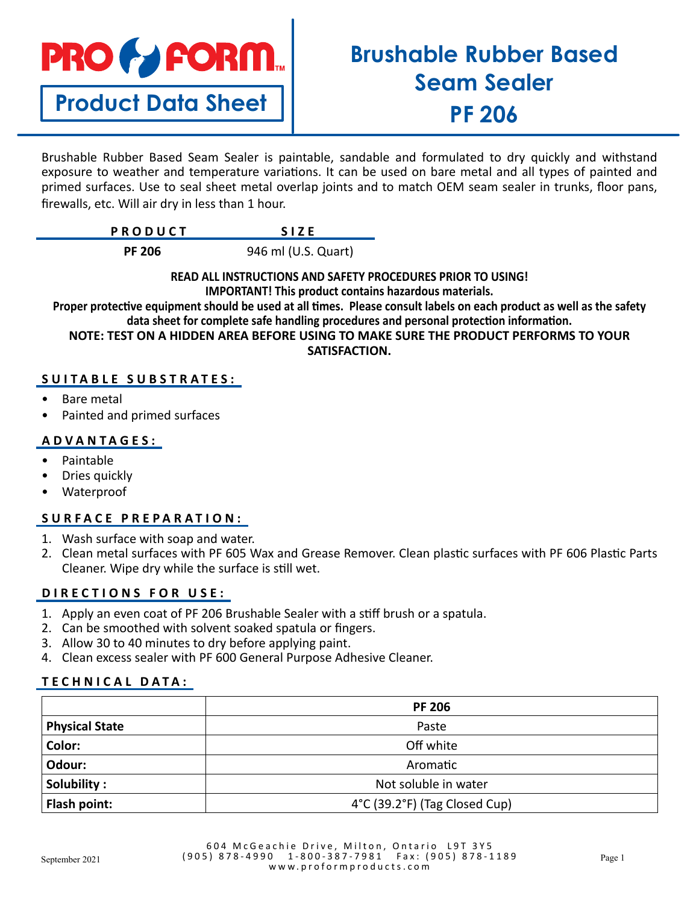

**Product Data Sheet**

# **Brushable Rubber Based Seam Sealer PF 206**

Brushable Rubber Based Seam Sealer is paintable, sandable and formulated to dry quickly and withstand exposure to weather and temperature variations. It can be used on bare metal and all types of painted and primed surfaces. Use to seal sheet metal overlap joints and to match OEM seam sealer in trunks, floor pans, firewalls, etc. Will air dry in less than 1 hour.

| PRODUCT |  |
|---------|--|
|         |  |

**PF 206** 946 ml (U.S. Quart)

**READ ALL INSTRUCTIONS AND SAFETY PROCEDURES PRIOR TO USING! IMPORTANT! This product contains hazardous materials.**

**Proper protective equipment should be used at all times. Please consult labels on each product as well as the safety data sheet for complete safe handling procedures and personal protection information.**

**NOTE: TEST ON A HIDDEN AREA BEFORE USING TO MAKE SURE THE PRODUCT PERFORMS TO YOUR SATISFACTION.** 

# **SUITABLE SUBSTRATES:**

- Bare metal
- Painted and primed surfaces

## **ADVANTAGES:**

- Paintable
- Dries quickly
- Waterproof

# **SURFACE PREPARATION:**

- 1. Wash surface with soap and water.
- 2. Clean metal surfaces with PF 605 Wax and Grease Remover. Clean plastic surfaces with PF 606 Plastic Parts Cleaner. Wipe dry while the surface is still wet.

## **DIRECTIONS FOR USE:**

- 1. Apply an even coat of PF 206 Brushable Sealer with a stiff brush or a spatula.
- 2. Can be smoothed with solvent soaked spatula or fingers.
- 3. Allow 30 to 40 minutes to dry before applying paint.
- 4. Clean excess sealer with PF 600 General Purpose Adhesive Cleaner.

## **TECHNICAL DATA:**

|                       | <b>PF 206</b>                 |
|-----------------------|-------------------------------|
| <b>Physical State</b> | Paste                         |
| Color:                | Off white                     |
| Odour:                | Aromatic                      |
| Solubility:           | Not soluble in water          |
| Flash point:          | 4°C (39.2°F) (Tag Closed Cup) |